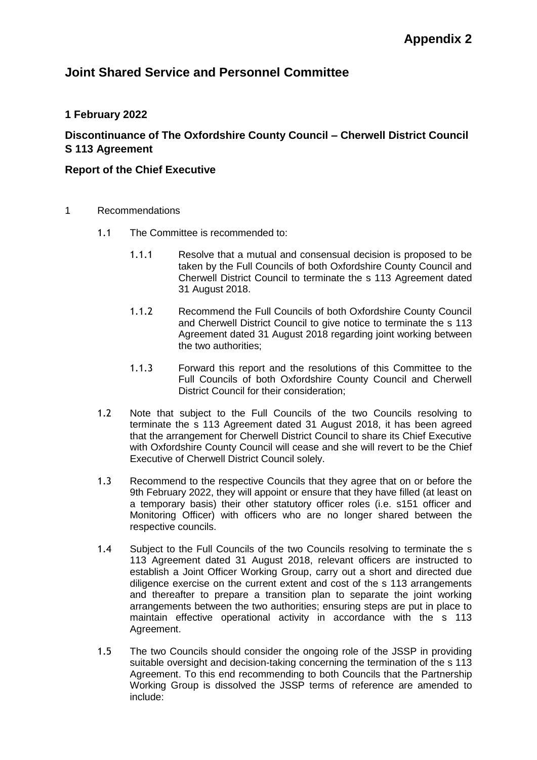# **Joint Shared Service and Personnel Committee**

## **1 February 2022**

## **Discontinuance of The Oxfordshire County Council – Cherwell District Council S 113 Agreement**

## **Report of the Chief Executive**

- 1 Recommendations
	- 1.1 The Committee is recommended to:
		- 1.1.1 Resolve that a mutual and consensual decision is proposed to be taken by the Full Councils of both Oxfordshire County Council and Cherwell District Council to terminate the s 113 Agreement dated 31 August 2018.
		- 1.1.2 Recommend the Full Councils of both Oxfordshire County Council and Cherwell District Council to give notice to terminate the s 113 Agreement dated 31 August 2018 regarding joint working between the two authorities;
		- 1.1.3 Forward this report and the resolutions of this Committee to the Full Councils of both Oxfordshire County Council and Cherwell District Council for their consideration;
	- 1.2 Note that subject to the Full Councils of the two Councils resolving to terminate the s 113 Agreement dated 31 August 2018, it has been agreed that the arrangement for Cherwell District Council to share its Chief Executive with Oxfordshire County Council will cease and she will revert to be the Chief Executive of Cherwell District Council solely.
	- 1.3 Recommend to the respective Councils that they agree that on or before the 9th February 2022, they will appoint or ensure that they have filled (at least on a temporary basis) their other statutory officer roles (i.e. s151 officer and Monitoring Officer) with officers who are no longer shared between the respective councils.
	- 1.4 Subject to the Full Councils of the two Councils resolving to terminate the s 113 Agreement dated 31 August 2018, relevant officers are instructed to establish a Joint Officer Working Group, carry out a short and directed due diligence exercise on the current extent and cost of the s 113 arrangements and thereafter to prepare a transition plan to separate the joint working arrangements between the two authorities; ensuring steps are put in place to maintain effective operational activity in accordance with the s 113 Agreement.
	- 1.5 The two Councils should consider the ongoing role of the JSSP in providing suitable oversight and decision-taking concerning the termination of the s 113 Agreement. To this end recommending to both Councils that the Partnership Working Group is dissolved the JSSP terms of reference are amended to include: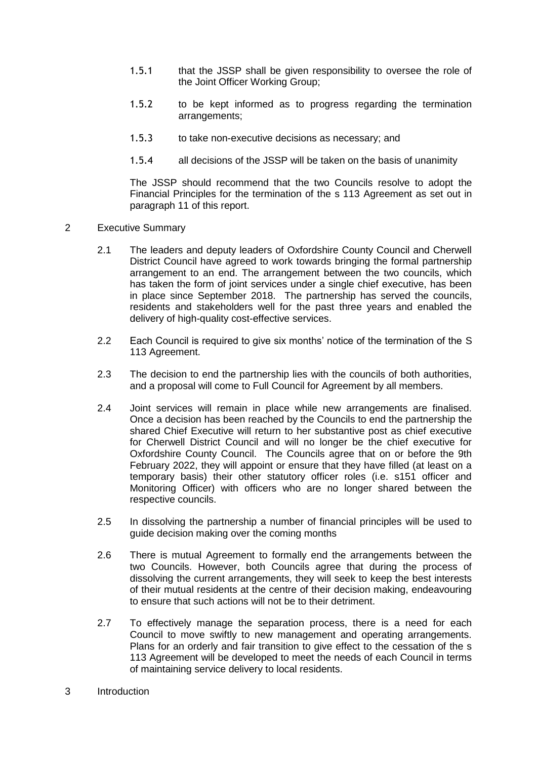- 1.5.1 that the JSSP shall be given responsibility to oversee the role of the Joint Officer Working Group;
- 1.5.2 to be kept informed as to progress regarding the termination arrangements;
- 1.5.3 to take non-executive decisions as necessary; and
- 1.5.4 all decisions of the JSSP will be taken on the basis of unanimity

The JSSP should recommend that the two Councils resolve to adopt the Financial Principles for the termination of the s 113 Agreement as set out in paragraph 11 of this report.

- 2 Executive Summary
	- 2.1 The leaders and deputy leaders of Oxfordshire County Council and Cherwell District Council have agreed to work towards bringing the formal partnership arrangement to an end. The arrangement between the two councils, which has taken the form of joint services under a single chief executive, has been in place since September 2018. The partnership has served the councils, residents and stakeholders well for the past three years and enabled the delivery of high-quality cost-effective services.
	- 2.2 Each Council is required to give six months' notice of the termination of the S 113 Agreement.
	- 2.3 The decision to end the partnership lies with the councils of both authorities, and a proposal will come to Full Council for Agreement by all members.
	- 2.4 Joint services will remain in place while new arrangements are finalised. Once a decision has been reached by the Councils to end the partnership the shared Chief Executive will return to her substantive post as chief executive for Cherwell District Council and will no longer be the chief executive for Oxfordshire County Council. The Councils agree that on or before the 9th February 2022, they will appoint or ensure that they have filled (at least on a temporary basis) their other statutory officer roles (i.e. s151 officer and Monitoring Officer) with officers who are no longer shared between the respective councils.
	- 2.5 In dissolving the partnership a number of financial principles will be used to guide decision making over the coming months
	- 2.6 There is mutual Agreement to formally end the arrangements between the two Councils. However, both Councils agree that during the process of dissolving the current arrangements, they will seek to keep the best interests of their mutual residents at the centre of their decision making, endeavouring to ensure that such actions will not be to their detriment.
	- 2.7 To effectively manage the separation process, there is a need for each Council to move swiftly to new management and operating arrangements. Plans for an orderly and fair transition to give effect to the cessation of the s 113 Agreement will be developed to meet the needs of each Council in terms of maintaining service delivery to local residents.
- 3 Introduction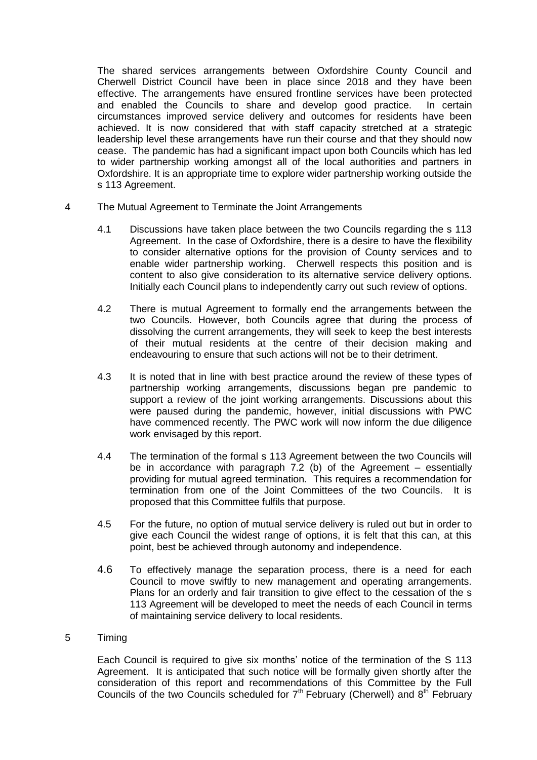The shared services arrangements between Oxfordshire County Council and Cherwell District Council have been in place since 2018 and they have been effective. The arrangements have ensured frontline services have been protected and enabled the Councils to share and develop good practice. In certain circumstances improved service delivery and outcomes for residents have been achieved. It is now considered that with staff capacity stretched at a strategic leadership level these arrangements have run their course and that they should now cease. The pandemic has had a significant impact upon both Councils which has led to wider partnership working amongst all of the local authorities and partners in Oxfordshire. It is an appropriate time to explore wider partnership working outside the s 113 Agreement.

- 4 The Mutual Agreement to Terminate the Joint Arrangements
	- 4.1 Discussions have taken place between the two Councils regarding the s 113 Agreement. In the case of Oxfordshire, there is a desire to have the flexibility to consider alternative options for the provision of County services and to enable wider partnership working. Cherwell respects this position and is content to also give consideration to its alternative service delivery options. Initially each Council plans to independently carry out such review of options.
	- 4.2 There is mutual Agreement to formally end the arrangements between the two Councils. However, both Councils agree that during the process of dissolving the current arrangements, they will seek to keep the best interests of their mutual residents at the centre of their decision making and endeavouring to ensure that such actions will not be to their detriment.
	- 4.3 It is noted that in line with best practice around the review of these types of partnership working arrangements, discussions began pre pandemic to support a review of the joint working arrangements. Discussions about this were paused during the pandemic, however, initial discussions with PWC have commenced recently. The PWC work will now inform the due diligence work envisaged by this report.
	- 4.4 The termination of the formal s 113 Agreement between the two Councils will be in accordance with paragraph 7.2 (b) of the Agreement – essentially providing for mutual agreed termination. This requires a recommendation for termination from one of the Joint Committees of the two Councils. It is proposed that this Committee fulfils that purpose.
	- 4.5 For the future, no option of mutual service delivery is ruled out but in order to give each Council the widest range of options, it is felt that this can, at this point, best be achieved through autonomy and independence.
	- 4.6 To effectively manage the separation process, there is a need for each Council to move swiftly to new management and operating arrangements. Plans for an orderly and fair transition to give effect to the cessation of the s 113 Agreement will be developed to meet the needs of each Council in terms of maintaining service delivery to local residents.

### 5 Timing

Each Council is required to give six months' notice of the termination of the S 113 Agreement. It is anticipated that such notice will be formally given shortly after the consideration of this report and recommendations of this Committee by the Full Councils of the two Councils scheduled for  $7<sup>th</sup>$  February (Cherwell) and  $8<sup>th</sup>$  February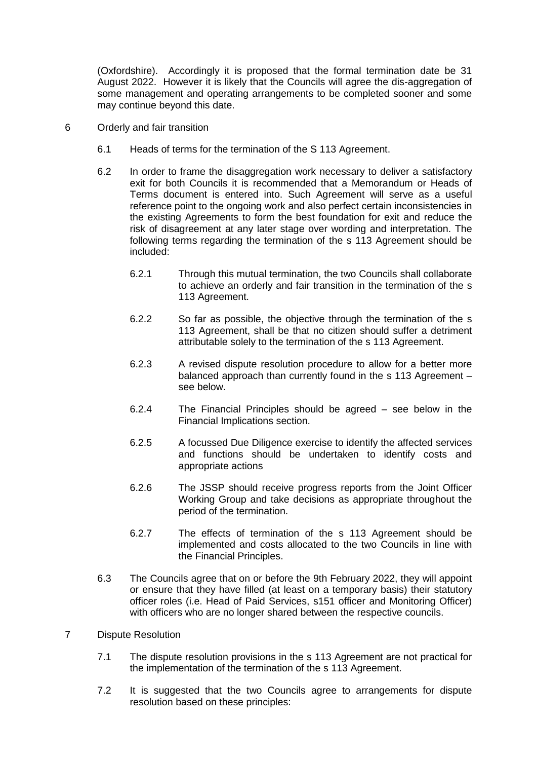(Oxfordshire). Accordingly it is proposed that the formal termination date be 31 August 2022. However it is likely that the Councils will agree the dis-aggregation of some management and operating arrangements to be completed sooner and some may continue beyond this date.

- 6 Orderly and fair transition
	- 6.1 Heads of terms for the termination of the S 113 Agreement.
	- 6.2 In order to frame the disaggregation work necessary to deliver a satisfactory exit for both Councils it is recommended that a Memorandum or Heads of Terms document is entered into. Such Agreement will serve as a useful reference point to the ongoing work and also perfect certain inconsistencies in the existing Agreements to form the best foundation for exit and reduce the risk of disagreement at any later stage over wording and interpretation. The following terms regarding the termination of the s 113 Agreement should be included:
		- 6.2.1 Through this mutual termination, the two Councils shall collaborate to achieve an orderly and fair transition in the termination of the s 113 Agreement.
		- 6.2.2 So far as possible, the objective through the termination of the s 113 Agreement, shall be that no citizen should suffer a detriment attributable solely to the termination of the s 113 Agreement.
		- 6.2.3 A revised dispute resolution procedure to allow for a better more balanced approach than currently found in the s 113 Agreement – see below.
		- 6.2.4 The Financial Principles should be agreed see below in the Financial Implications section.
		- 6.2.5 A focussed Due Diligence exercise to identify the affected services and functions should be undertaken to identify costs and appropriate actions
		- 6.2.6 The JSSP should receive progress reports from the Joint Officer Working Group and take decisions as appropriate throughout the period of the termination.
		- 6.2.7 The effects of termination of the s 113 Agreement should be implemented and costs allocated to the two Councils in line with the Financial Principles.
	- 6.3 The Councils agree that on or before the 9th February 2022, they will appoint or ensure that they have filled (at least on a temporary basis) their statutory officer roles (i.e. Head of Paid Services, s151 officer and Monitoring Officer) with officers who are no longer shared between the respective councils.

### 7 Dispute Resolution

- 7.1 The dispute resolution provisions in the s 113 Agreement are not practical for the implementation of the termination of the s 113 Agreement.
- 7.2 It is suggested that the two Councils agree to arrangements for dispute resolution based on these principles: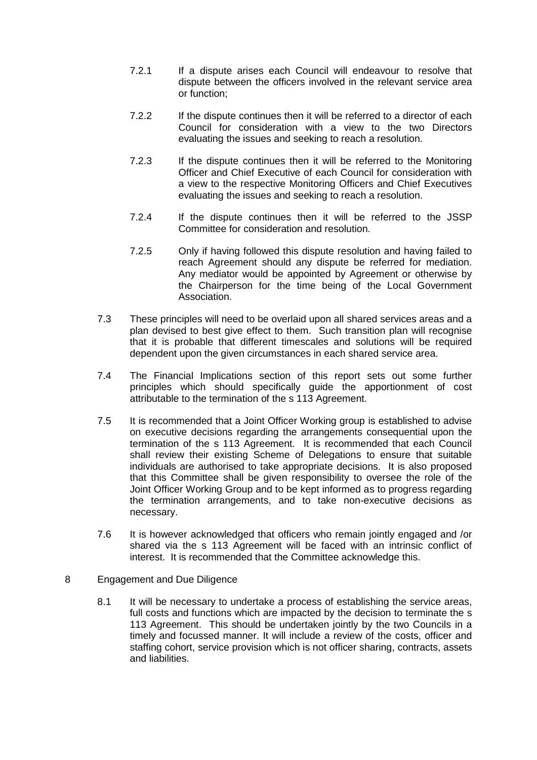- 7.2.1 If a dispute arises each Council will endeavour to resolve that dispute between the officers involved in the relevant service area or function;
- 7.2.2 If the dispute continues then it will be referred to a director of each Council for consideration with a view to the two Directors evaluating the issues and seeking to reach a resolution.
- 7.2.3 If the dispute continues then it will be referred to the Monitoring Officer and Chief Executive of each Council for consideration with a view to the respective Monitoring Officers and Chief Executives evaluating the issues and seeking to reach a resolution.
- 7.2.4 If the dispute continues then it will be referred to the JSSP Committee for consideration and resolution.
- 7.2.5 Only if having followed this dispute resolution and having failed to reach Agreement should any dispute be referred for mediation. Any mediator would be appointed by Agreement or otherwise by the Chairperson for the time being of the Local Government Association.
- 7.3 These principles will need to be overlaid upon all shared services areas and a plan devised to best give effect to them. Such transition plan will recognise that it is probable that different timescales and solutions will be required dependent upon the given circumstances in each shared service area.
- 7.4 The Financial Implications section of this report sets out some further principles which should specifically guide the apportionment of cost attributable to the termination of the s 113 Agreement.
- 7.5 It is recommended that a Joint Officer Working group is established to advise on executive decisions regarding the arrangements consequential upon the termination of the s 113 Agreement. It is recommended that each Council shall review their existing Scheme of Delegations to ensure that suitable individuals are authorised to take appropriate decisions. It is also proposed that this Committee shall be given responsibility to oversee the role of the Joint Officer Working Group and to be kept informed as to progress regarding the termination arrangements, and to take non-executive decisions as necessary.
- 7.6 It is however acknowledged that officers who remain jointly engaged and /or shared via the s 113 Agreement will be faced with an intrinsic conflict of interest. It is recommended that the Committee acknowledge this.
- 8 Engagement and Due Diligence
	- 8.1 It will be necessary to undertake a process of establishing the service areas, full costs and functions which are impacted by the decision to terminate the s 113 Agreement. This should be undertaken jointly by the two Councils in a timely and focussed manner. It will include a review of the costs, officer and staffing cohort, service provision which is not officer sharing, contracts, assets and liabilities.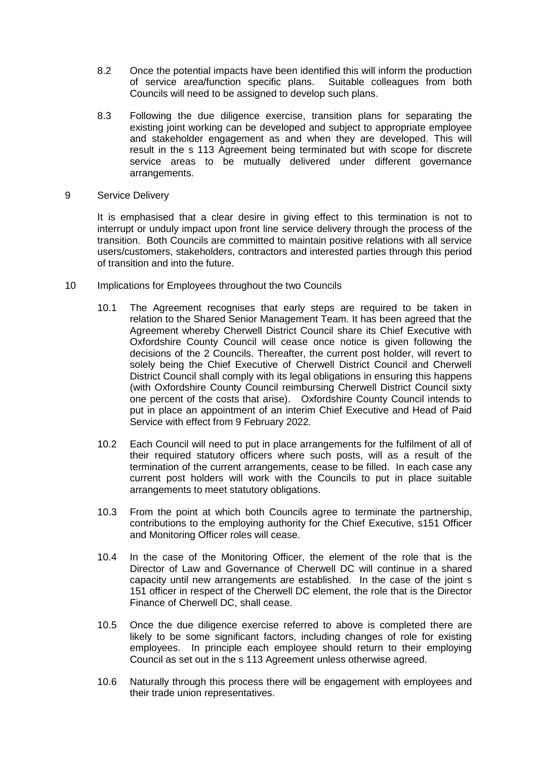- 8.2 Once the potential impacts have been identified this will inform the production of service area/function specific plans. Suitable colleagues from both Councils will need to be assigned to develop such plans.
- 8.3 Following the due diligence exercise, transition plans for separating the existing joint working can be developed and subject to appropriate employee and stakeholder engagement as and when they are developed. This will result in the s 113 Agreement being terminated but with scope for discrete service areas to be mutually delivered under different governance arrangements.
- 9 Service Delivery

It is emphasised that a clear desire in giving effect to this termination is not to interrupt or unduly impact upon front line service delivery through the process of the transition. Both Councils are committed to maintain positive relations with all service users/customers, stakeholders, contractors and interested parties through this period of transition and into the future.

- 10 Implications for Employees throughout the two Councils
	- 10.1 The Agreement recognises that early steps are required to be taken in relation to the Shared Senior Management Team. It has been agreed that the Agreement whereby Cherwell District Council share its Chief Executive with Oxfordshire County Council will cease once notice is given following the decisions of the 2 Councils. Thereafter, the current post holder, will revert to solely being the Chief Executive of Cherwell District Council and Cherwell District Council shall comply with its legal obligations in ensuring this happens (with Oxfordshire County Council reimbursing Cherwell District Council sixty one percent of the costs that arise). Oxfordshire County Council intends to put in place an appointment of an interim Chief Executive and Head of Paid Service with effect from 9 February 2022.
	- 10.2 Each Council will need to put in place arrangements for the fulfilment of all of their required statutory officers where such posts, will as a result of the termination of the current arrangements, cease to be filled. In each case any current post holders will work with the Councils to put in place suitable arrangements to meet statutory obligations.
	- 10.3 From the point at which both Councils agree to terminate the partnership, contributions to the employing authority for the Chief Executive, s151 Officer and Monitoring Officer roles will cease.
	- 10.4 In the case of the Monitoring Officer, the element of the role that is the Director of Law and Governance of Cherwell DC will continue in a shared capacity until new arrangements are established. In the case of the joint s 151 officer in respect of the Cherwell DC element, the role that is the Director Finance of Cherwell DC, shall cease.
	- 10.5 Once the due diligence exercise referred to above is completed there are likely to be some significant factors, including changes of role for existing employees. In principle each employee should return to their employing Council as set out in the s 113 Agreement unless otherwise agreed.
	- 10.6 Naturally through this process there will be engagement with employees and their trade union representatives.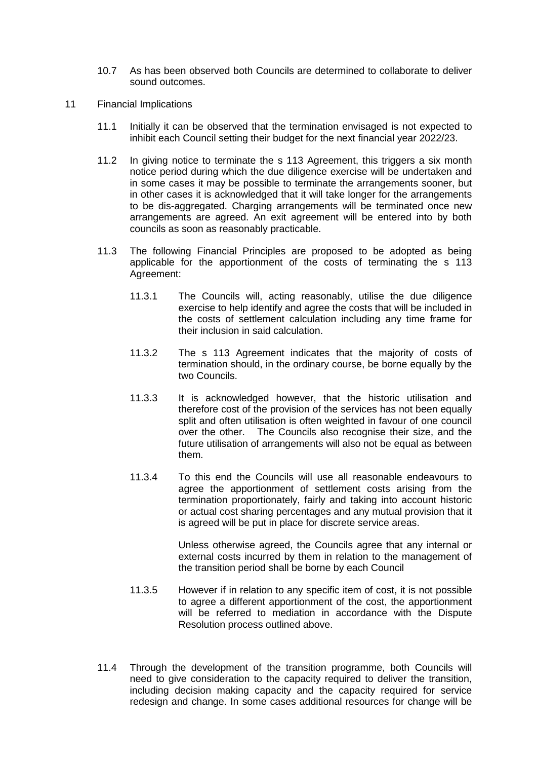- 10.7 As has been observed both Councils are determined to collaborate to deliver sound outcomes.
- 11 Financial Implications
	- 11.1 Initially it can be observed that the termination envisaged is not expected to inhibit each Council setting their budget for the next financial year 2022/23.
	- 11.2 In giving notice to terminate the s 113 Agreement, this triggers a six month notice period during which the due diligence exercise will be undertaken and in some cases it may be possible to terminate the arrangements sooner, but in other cases it is acknowledged that it will take longer for the arrangements to be dis-aggregated. Charging arrangements will be terminated once new arrangements are agreed. An exit agreement will be entered into by both councils as soon as reasonably practicable.
	- 11.3 The following Financial Principles are proposed to be adopted as being applicable for the apportionment of the costs of terminating the s 113 Agreement:
		- 11.3.1 The Councils will, acting reasonably, utilise the due diligence exercise to help identify and agree the costs that will be included in the costs of settlement calculation including any time frame for their inclusion in said calculation.
		- 11.3.2 The s 113 Agreement indicates that the majority of costs of termination should, in the ordinary course, be borne equally by the two Councils.
		- 11.3.3 It is acknowledged however, that the historic utilisation and therefore cost of the provision of the services has not been equally split and often utilisation is often weighted in favour of one council over the other. The Councils also recognise their size, and the future utilisation of arrangements will also not be equal as between them.
		- 11.3.4 To this end the Councils will use all reasonable endeavours to agree the apportionment of settlement costs arising from the termination proportionately, fairly and taking into account historic or actual cost sharing percentages and any mutual provision that it is agreed will be put in place for discrete service areas.

Unless otherwise agreed, the Councils agree that any internal or external costs incurred by them in relation to the management of the transition period shall be borne by each Council

- 11.3.5 However if in relation to any specific item of cost, it is not possible to agree a different apportionment of the cost, the apportionment will be referred to mediation in accordance with the Dispute Resolution process outlined above.
- 11.4 Through the development of the transition programme, both Councils will need to give consideration to the capacity required to deliver the transition, including decision making capacity and the capacity required for service redesign and change. In some cases additional resources for change will be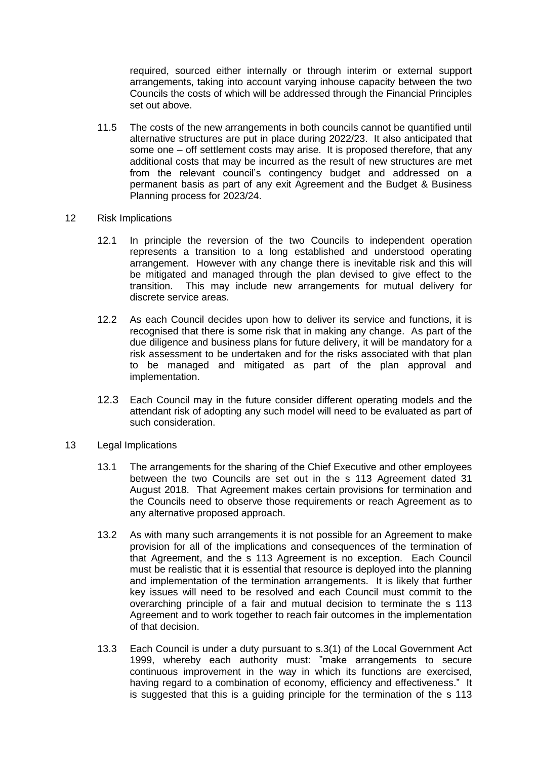required, sourced either internally or through interim or external support arrangements, taking into account varying inhouse capacity between the two Councils the costs of which will be addressed through the Financial Principles set out above.

- 11.5 The costs of the new arrangements in both councils cannot be quantified until alternative structures are put in place during 2022/23. It also anticipated that some one – off settlement costs may arise. It is proposed therefore, that any additional costs that may be incurred as the result of new structures are met from the relevant council's contingency budget and addressed on a permanent basis as part of any exit Agreement and the Budget & Business Planning process for 2023/24.
- 12 Risk Implications
	- 12.1 In principle the reversion of the two Councils to independent operation represents a transition to a long established and understood operating arrangement. However with any change there is inevitable risk and this will be mitigated and managed through the plan devised to give effect to the transition. This may include new arrangements for mutual delivery for discrete service areas.
	- 12.2 As each Council decides upon how to deliver its service and functions, it is recognised that there is some risk that in making any change. As part of the due diligence and business plans for future delivery, it will be mandatory for a risk assessment to be undertaken and for the risks associated with that plan to be managed and mitigated as part of the plan approval and implementation.
	- 12.3 Each Council may in the future consider different operating models and the attendant risk of adopting any such model will need to be evaluated as part of such consideration.
- 13 Legal Implications
	- 13.1 The arrangements for the sharing of the Chief Executive and other employees between the two Councils are set out in the s 113 Agreement dated 31 August 2018. That Agreement makes certain provisions for termination and the Councils need to observe those requirements or reach Agreement as to any alternative proposed approach.
	- 13.2 As with many such arrangements it is not possible for an Agreement to make provision for all of the implications and consequences of the termination of that Agreement, and the s 113 Agreement is no exception. Each Council must be realistic that it is essential that resource is deployed into the planning and implementation of the termination arrangements. It is likely that further key issues will need to be resolved and each Council must commit to the overarching principle of a fair and mutual decision to terminate the s 113 Agreement and to work together to reach fair outcomes in the implementation of that decision.
	- 13.3 Each Council is under a duty pursuant to s.3(1) of the Local Government Act 1999, whereby each authority must: "make arrangements to secure continuous improvement in the way in which its functions are exercised, having regard to a combination of economy, efficiency and effectiveness." It is suggested that this is a guiding principle for the termination of the s 113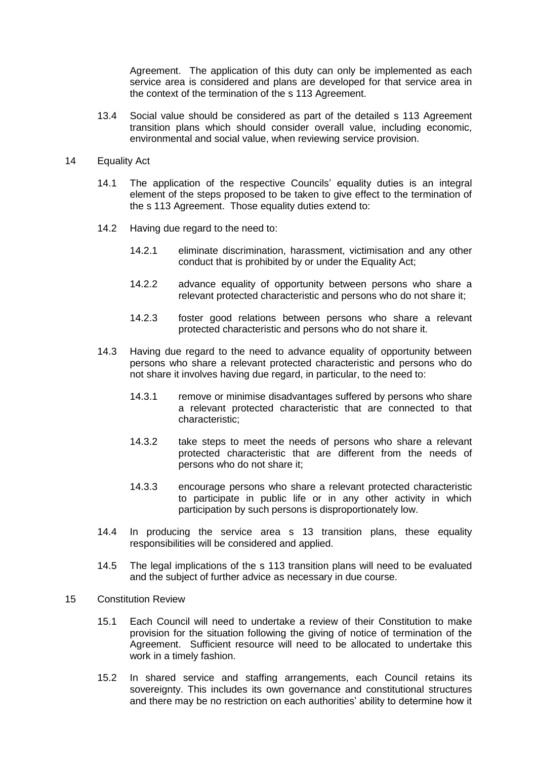Agreement. The application of this duty can only be implemented as each service area is considered and plans are developed for that service area in the context of the termination of the s 113 Agreement.

13.4 Social value should be considered as part of the detailed s 113 Agreement transition plans which should consider overall value, including economic, environmental and social value, when reviewing service provision.

#### 14 Equality Act

- 14.1 The application of the respective Councils' equality duties is an integral element of the steps proposed to be taken to give effect to the termination of the s 113 Agreement. Those equality duties extend to:
- 14.2 Having due regard to the need to:
	- 14.2.1 eliminate discrimination, harassment, victimisation and any other conduct that is prohibited by or under the Equality Act;
	- 14.2.2 advance equality of opportunity between persons who share a relevant protected characteristic and persons who do not share it;
	- 14.2.3 foster good relations between persons who share a relevant protected characteristic and persons who do not share it.
- 14.3 Having due regard to the need to advance equality of opportunity between persons who share a relevant protected characteristic and persons who do not share it involves having due regard, in particular, to the need to:
	- 14.3.1 remove or minimise disadvantages suffered by persons who share a relevant protected characteristic that are connected to that characteristic;
	- 14.3.2 take steps to meet the needs of persons who share a relevant protected characteristic that are different from the needs of persons who do not share it;
	- 14.3.3 encourage persons who share a relevant protected characteristic to participate in public life or in any other activity in which participation by such persons is disproportionately low.
- 14.4 In producing the service area s 13 transition plans, these equality responsibilities will be considered and applied.
- 14.5 The legal implications of the s 113 transition plans will need to be evaluated and the subject of further advice as necessary in due course.
- 15 Constitution Review
	- 15.1 Each Council will need to undertake a review of their Constitution to make provision for the situation following the giving of notice of termination of the Agreement. Sufficient resource will need to be allocated to undertake this work in a timely fashion.
	- 15.2 In shared service and staffing arrangements, each Council retains its sovereignty. This includes its own governance and constitutional structures and there may be no restriction on each authorities' ability to determine how it